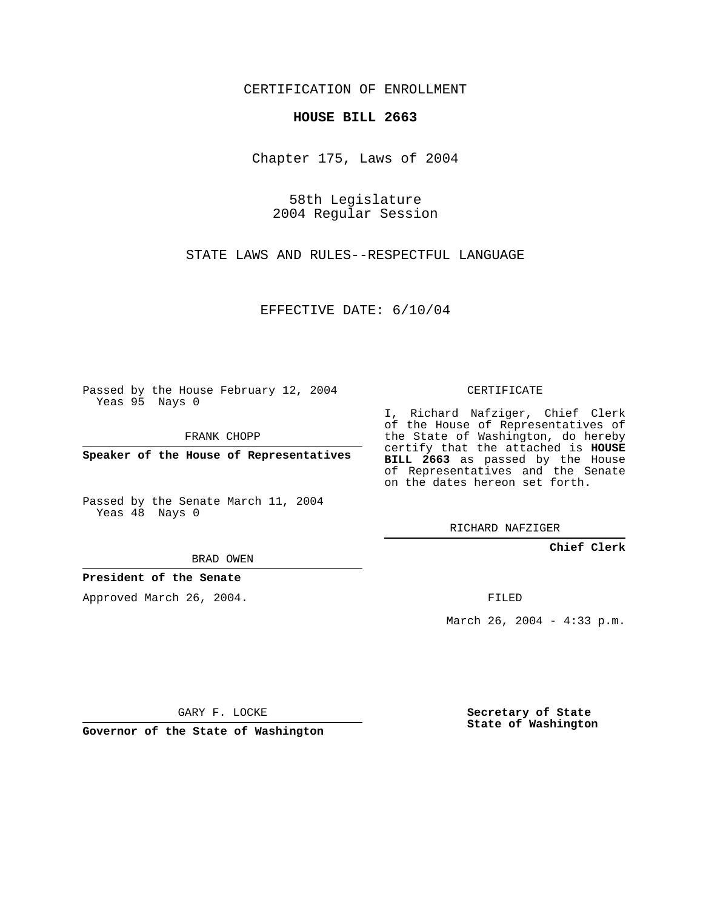CERTIFICATION OF ENROLLMENT

## **HOUSE BILL 2663**

Chapter 175, Laws of 2004

58th Legislature 2004 Regular Session

STATE LAWS AND RULES--RESPECTFUL LANGUAGE

EFFECTIVE DATE: 6/10/04

Passed by the House February 12, 2004 Yeas 95 Nays 0

FRANK CHOPP

**Speaker of the House of Representatives**

Passed by the Senate March 11, 2004 Yeas 48 Nays 0

BRAD OWEN

**President of the Senate**

Approved March 26, 2004.

CERTIFICATE

I, Richard Nafziger, Chief Clerk of the House of Representatives of the State of Washington, do hereby certify that the attached is **HOUSE BILL 2663** as passed by the House of Representatives and the Senate on the dates hereon set forth.

RICHARD NAFZIGER

**Chief Clerk**

FILED

March 26, 2004 - 4:33 p.m.

GARY F. LOCKE

**Governor of the State of Washington**

**Secretary of State State of Washington**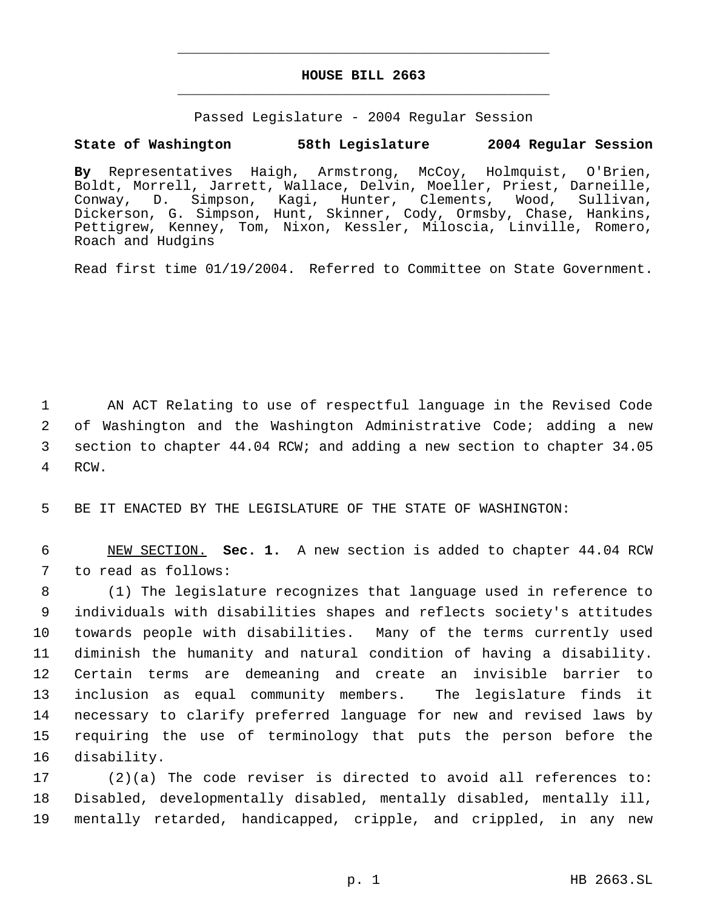## **HOUSE BILL 2663** \_\_\_\_\_\_\_\_\_\_\_\_\_\_\_\_\_\_\_\_\_\_\_\_\_\_\_\_\_\_\_\_\_\_\_\_\_\_\_\_\_\_\_\_\_

\_\_\_\_\_\_\_\_\_\_\_\_\_\_\_\_\_\_\_\_\_\_\_\_\_\_\_\_\_\_\_\_\_\_\_\_\_\_\_\_\_\_\_\_\_

Passed Legislature - 2004 Regular Session

## **State of Washington 58th Legislature 2004 Regular Session**

**By** Representatives Haigh, Armstrong, McCoy, Holmquist, O'Brien, Boldt, Morrell, Jarrett, Wallace, Delvin, Moeller, Priest, Darneille, Conway, D. Simpson, Kagi, Hunter, Clements, Wood, Sullivan, Dickerson, G. Simpson, Hunt, Skinner, Cody, Ormsby, Chase, Hankins, Pettigrew, Kenney, Tom, Nixon, Kessler, Miloscia, Linville, Romero, Roach and Hudgins

Read first time 01/19/2004. Referred to Committee on State Government.

 AN ACT Relating to use of respectful language in the Revised Code of Washington and the Washington Administrative Code; adding a new section to chapter 44.04 RCW; and adding a new section to chapter 34.05 4 RCW.

5 BE IT ENACTED BY THE LEGISLATURE OF THE STATE OF WASHINGTON:

 6 NEW SECTION. **Sec. 1.** A new section is added to chapter 44.04 RCW 7 to read as follows:

 (1) The legislature recognizes that language used in reference to individuals with disabilities shapes and reflects society's attitudes towards people with disabilities. Many of the terms currently used diminish the humanity and natural condition of having a disability. Certain terms are demeaning and create an invisible barrier to inclusion as equal community members. The legislature finds it necessary to clarify preferred language for new and revised laws by requiring the use of terminology that puts the person before the disability.

17 (2)(a) The code reviser is directed to avoid all references to: 18 Disabled, developmentally disabled, mentally disabled, mentally ill, 19 mentally retarded, handicapped, cripple, and crippled, in any new